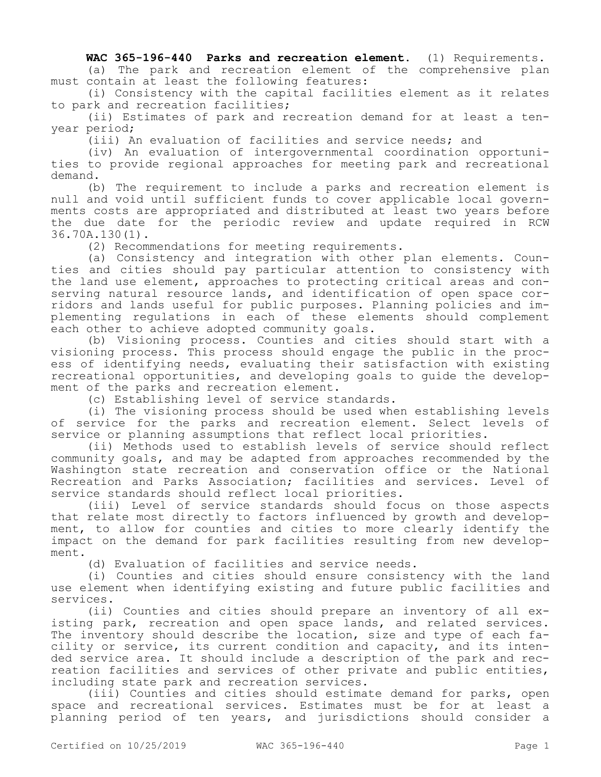**WAC 365-196-440 Parks and recreation element.** (1) Requirements.

(a) The park and recreation element of the comprehensive plan must contain at least the following features:

(i) Consistency with the capital facilities element as it relates to park and recreation facilities;

(ii) Estimates of park and recreation demand for at least a tenyear period;

(iii) An evaluation of facilities and service needs; and

(iv) An evaluation of intergovernmental coordination opportunities to provide regional approaches for meeting park and recreational demand.

(b) The requirement to include a parks and recreation element is null and void until sufficient funds to cover applicable local governments costs are appropriated and distributed at least two years before the due date for the periodic review and update required in RCW 36.70A.130(1).

(2) Recommendations for meeting requirements.

(a) Consistency and integration with other plan elements. Counties and cities should pay particular attention to consistency with the land use element, approaches to protecting critical areas and conserving natural resource lands, and identification of open space corridors and lands useful for public purposes. Planning policies and implementing regulations in each of these elements should complement each other to achieve adopted community goals.

(b) Visioning process. Counties and cities should start with a visioning process. This process should engage the public in the process of identifying needs, evaluating their satisfaction with existing recreational opportunities, and developing goals to guide the development of the parks and recreation element.

(c) Establishing level of service standards.

(i) The visioning process should be used when establishing levels of service for the parks and recreation element. Select levels of service or planning assumptions that reflect local priorities.

(ii) Methods used to establish levels of service should reflect community goals, and may be adapted from approaches recommended by the Washington state recreation and conservation office or the National Recreation and Parks Association; facilities and services. Level of service standards should reflect local priorities.

(iii) Level of service standards should focus on those aspects that relate most directly to factors influenced by growth and development, to allow for counties and cities to more clearly identify the impact on the demand for park facilities resulting from new development.

(d) Evaluation of facilities and service needs.

(i) Counties and cities should ensure consistency with the land use element when identifying existing and future public facilities and services.

(ii) Counties and cities should prepare an inventory of all existing park, recreation and open space lands, and related services. The inventory should describe the location, size and type of each facility or service, its current condition and capacity, and its intended service area. It should include a description of the park and recreation facilities and services of other private and public entities, including state park and recreation services.

(iii) Counties and cities should estimate demand for parks, open space and recreational services. Estimates must be for at least a planning period of ten years, and jurisdictions should consider a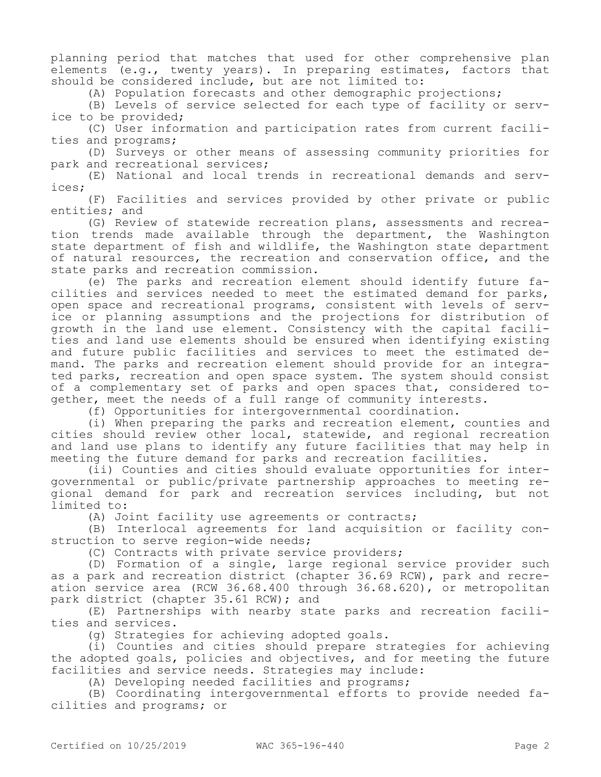planning period that matches that used for other comprehensive plan elements (e.g., twenty years). In preparing estimates, factors that should be considered include, but are not limited to:

(A) Population forecasts and other demographic projections;

(B) Levels of service selected for each type of facility or service to be provided;

(C) User information and participation rates from current facilities and programs;

(D) Surveys or other means of assessing community priorities for park and recreational services;

(E) National and local trends in recreational demands and services;

(F) Facilities and services provided by other private or public entities; and

(G) Review of statewide recreation plans, assessments and recreation trends made available through the department, the Washington state department of fish and wildlife, the Washington state department of natural resources, the recreation and conservation office, and the state parks and recreation commission.

(e) The parks and recreation element should identify future facilities and services needed to meet the estimated demand for parks, open space and recreational programs, consistent with levels of service or planning assumptions and the projections for distribution of growth in the land use element. Consistency with the capital facilities and land use elements should be ensured when identifying existing and future public facilities and services to meet the estimated demand. The parks and recreation element should provide for an integrated parks, recreation and open space system. The system should consist of a complementary set of parks and open spaces that, considered together, meet the needs of a full range of community interests.

(f) Opportunities for intergovernmental coordination.

(i) When preparing the parks and recreation element, counties and cities should review other local, statewide, and regional recreation and land use plans to identify any future facilities that may help in meeting the future demand for parks and recreation facilities.

(ii) Counties and cities should evaluate opportunities for intergovernmental or public/private partnership approaches to meeting regional demand for park and recreation services including, but not limited to:

(A) Joint facility use agreements or contracts;

(B) Interlocal agreements for land acquisition or facility construction to serve region-wide needs;

(C) Contracts with private service providers;

(D) Formation of a single, large regional service provider such as a park and recreation district (chapter 36.69 RCW), park and recreation service area (RCW 36.68.400 through 36.68.620), or metropolitan park district (chapter 35.61 RCW); and

(E) Partnerships with nearby state parks and recreation facilities and services.

(g) Strategies for achieving adopted goals.

(i) Counties and cities should prepare strategies for achieving the adopted goals, policies and objectives, and for meeting the future facilities and service needs. Strategies may include:

(A) Developing needed facilities and programs;

(B) Coordinating intergovernmental efforts to provide needed facilities and programs; or